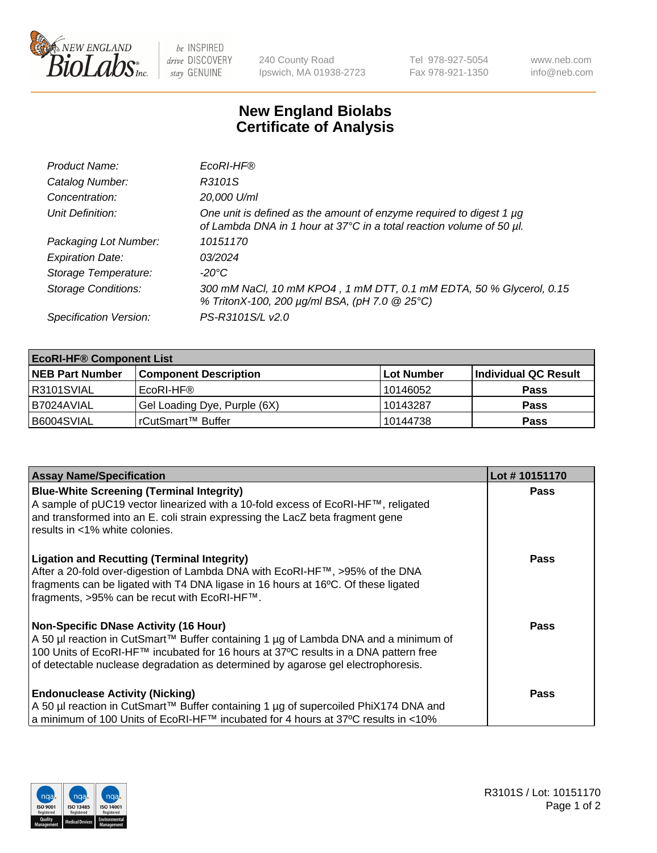

 $be$  INSPIRED drive DISCOVERY stay GENUINE

240 County Road Ipswich, MA 01938-2723 Tel 978-927-5054 Fax 978-921-1350 www.neb.com info@neb.com

## **New England Biolabs Certificate of Analysis**

| Product Name:              | EcoRI-HF®                                                                                                                                   |
|----------------------------|---------------------------------------------------------------------------------------------------------------------------------------------|
| Catalog Number:            | R3101S                                                                                                                                      |
| Concentration:             | 20,000 U/ml                                                                                                                                 |
| Unit Definition:           | One unit is defined as the amount of enzyme required to digest 1 µg<br>of Lambda DNA in 1 hour at 37°C in a total reaction volume of 50 µl. |
| Packaging Lot Number:      | 10151170                                                                                                                                    |
| <b>Expiration Date:</b>    | 03/2024                                                                                                                                     |
| Storage Temperature:       | -20°C                                                                                                                                       |
| <b>Storage Conditions:</b> | 300 mM NaCl, 10 mM KPO4, 1 mM DTT, 0.1 mM EDTA, 50 % Glycerol, 0.15<br>% TritonX-100, 200 µg/ml BSA, (pH 7.0 @ 25°C)                        |
| Specification Version:     | PS-R3101S/L v2.0                                                                                                                            |

| <b>EcoRI-HF® Component List</b> |                              |                   |                      |  |  |
|---------------------------------|------------------------------|-------------------|----------------------|--|--|
| <b>NEB Part Number</b>          | <b>Component Description</b> | <b>Lot Number</b> | Individual QC Result |  |  |
| IR3101SVIAL                     | EcoRI-HF®                    | 10146052          | <b>Pass</b>          |  |  |
| B7024AVIAL                      | Gel Loading Dye, Purple (6X) | 10143287          | <b>Pass</b>          |  |  |
| B6004SVIAL                      | l rCutSmart™ Buffer          | 10144738          | <b>Pass</b>          |  |  |

| <b>Assay Name/Specification</b>                                                                                                                                                                                                                                                                         | Lot #10151170 |
|---------------------------------------------------------------------------------------------------------------------------------------------------------------------------------------------------------------------------------------------------------------------------------------------------------|---------------|
| <b>Blue-White Screening (Terminal Integrity)</b><br>A sample of pUC19 vector linearized with a 10-fold excess of EcoRI-HF™, religated<br>and transformed into an E. coli strain expressing the LacZ beta fragment gene                                                                                  | <b>Pass</b>   |
| results in <1% white colonies.                                                                                                                                                                                                                                                                          |               |
| <b>Ligation and Recutting (Terminal Integrity)</b><br>After a 20-fold over-digestion of Lambda DNA with EcoRI-HF™, >95% of the DNA<br>fragments can be ligated with T4 DNA ligase in 16 hours at 16°C. Of these ligated<br>fragments, >95% can be recut with EcoRI-HF™.                                 | Pass          |
| Non-Specific DNase Activity (16 Hour)<br>A 50 µl reaction in CutSmart™ Buffer containing 1 µg of Lambda DNA and a minimum of<br>100 Units of EcoRI-HF™ incubated for 16 hours at 37°C results in a DNA pattern free<br>of detectable nuclease degradation as determined by agarose gel electrophoresis. | Pass          |
| <b>Endonuclease Activity (Nicking)</b>                                                                                                                                                                                                                                                                  | <b>Pass</b>   |
| A 50 µl reaction in CutSmart™ Buffer containing 1 µg of supercoiled PhiX174 DNA and                                                                                                                                                                                                                     |               |
| a minimum of 100 Units of EcoRI-HF™ incubated for 4 hours at 37°C results in <10%                                                                                                                                                                                                                       |               |